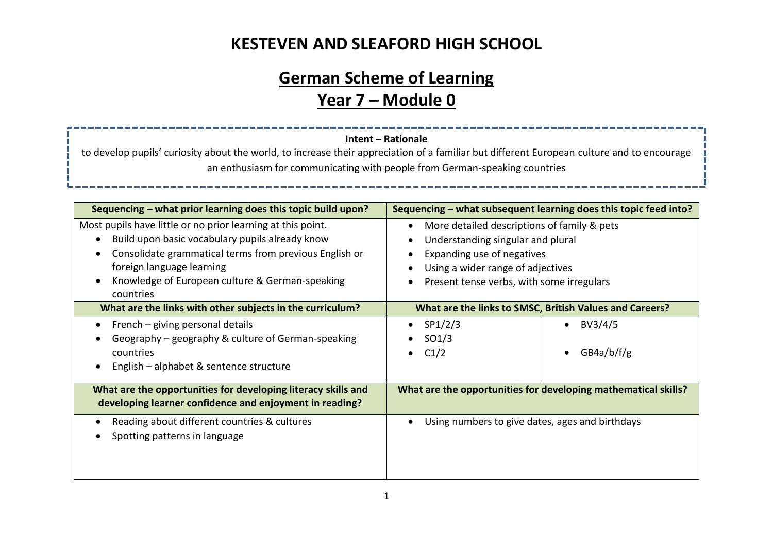# **German Scheme of Learning**

## **Year 7 – Module 0**

#### **Intent – Rationale**

to develop pupils' curiosity about the world, to increase their appreciation of a familiar but different European culture and to encourage an enthusiasm for communicating with people from German-speaking countries

| Sequencing – what prior learning does this topic build upon?                                                                                                                                                                                                          | Sequencing – what subsequent learning does this topic feed into?                                                                                                                                 |  |  |
|-----------------------------------------------------------------------------------------------------------------------------------------------------------------------------------------------------------------------------------------------------------------------|--------------------------------------------------------------------------------------------------------------------------------------------------------------------------------------------------|--|--|
| Most pupils have little or no prior learning at this point.<br>Build upon basic vocabulary pupils already know<br>Consolidate grammatical terms from previous English or<br>foreign language learning<br>Knowledge of European culture & German-speaking<br>countries | More detailed descriptions of family & pets<br>Understanding singular and plural<br>Expanding use of negatives<br>Using a wider range of adjectives<br>Present tense verbs, with some irregulars |  |  |
| What are the links with other subjects in the curriculum?                                                                                                                                                                                                             | What are the links to SMSC, British Values and Careers?                                                                                                                                          |  |  |
| French – giving personal details<br>Geography – geography & culture of German-speaking<br>countries<br>English – alphabet & sentence structure                                                                                                                        | SP1/2/3<br>BV3/4/5<br>SO <sub>1</sub> /3<br>GB4a/b/f/g<br>C1/2                                                                                                                                   |  |  |
| What are the opportunities for developing literacy skills and<br>developing learner confidence and enjoyment in reading?                                                                                                                                              | What are the opportunities for developing mathematical skills?                                                                                                                                   |  |  |
| Reading about different countries & cultures<br>Spotting patterns in language                                                                                                                                                                                         | Using numbers to give dates, ages and birthdays                                                                                                                                                  |  |  |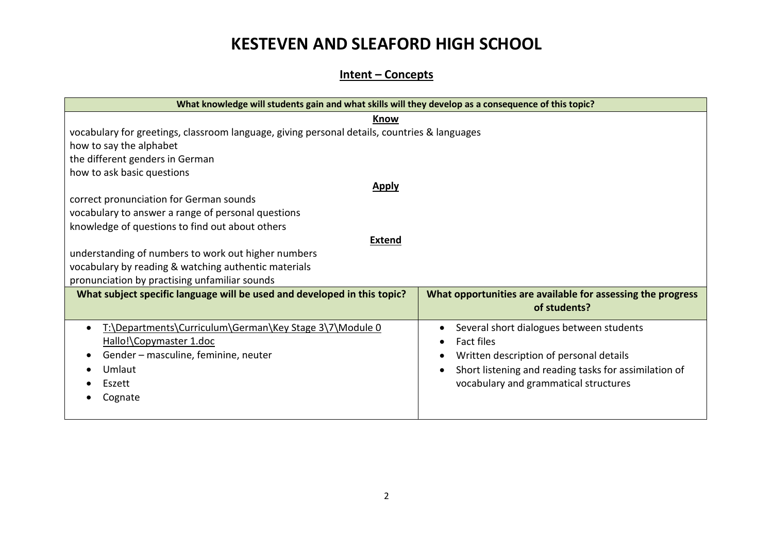#### **Intent – Concepts**

| What knowledge will students gain and what skills will they develop as a consequence of this topic? |                                                             |  |  |  |  |
|-----------------------------------------------------------------------------------------------------|-------------------------------------------------------------|--|--|--|--|
| Know                                                                                                |                                                             |  |  |  |  |
| vocabulary for greetings, classroom language, giving personal details, countries & languages        |                                                             |  |  |  |  |
| how to say the alphabet                                                                             |                                                             |  |  |  |  |
| the different genders in German                                                                     |                                                             |  |  |  |  |
| how to ask basic questions                                                                          |                                                             |  |  |  |  |
| <b>Apply</b>                                                                                        |                                                             |  |  |  |  |
| correct pronunciation for German sounds                                                             |                                                             |  |  |  |  |
| vocabulary to answer a range of personal questions                                                  |                                                             |  |  |  |  |
| knowledge of questions to find out about others                                                     |                                                             |  |  |  |  |
| <b>Extend</b>                                                                                       |                                                             |  |  |  |  |
| understanding of numbers to work out higher numbers                                                 |                                                             |  |  |  |  |
| vocabulary by reading & watching authentic materials                                                |                                                             |  |  |  |  |
| pronunciation by practising unfamiliar sounds                                                       |                                                             |  |  |  |  |
| What subject specific language will be used and developed in this topic?                            | What opportunities are available for assessing the progress |  |  |  |  |
|                                                                                                     | of students?                                                |  |  |  |  |
| T:\Departments\Curriculum\German\Key Stage 3\7\Module 0                                             | Several short dialogues between students                    |  |  |  |  |
| Hallo!\Copymaster 1.doc                                                                             | <b>Fact files</b>                                           |  |  |  |  |
| Gender – masculine, feminine, neuter                                                                | Written description of personal details                     |  |  |  |  |
| Umlaut                                                                                              | Short listening and reading tasks for assimilation of       |  |  |  |  |
| Eszett                                                                                              | vocabulary and grammatical structures                       |  |  |  |  |
| Cognate                                                                                             |                                                             |  |  |  |  |
|                                                                                                     |                                                             |  |  |  |  |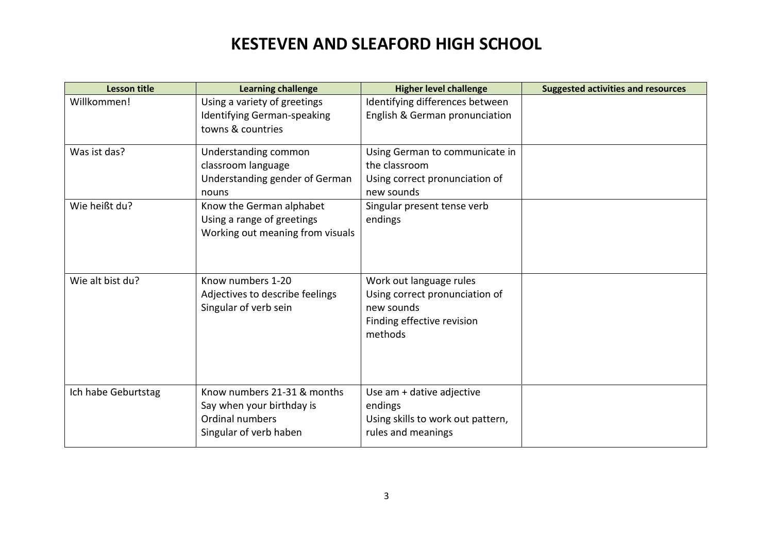| <b>Lesson title</b> | <b>Learning challenge</b>                                                                             | <b>Higher level challenge</b>                                                                                    | <b>Suggested activities and resources</b> |
|---------------------|-------------------------------------------------------------------------------------------------------|------------------------------------------------------------------------------------------------------------------|-------------------------------------------|
| Willkommen!         | Using a variety of greetings<br>Identifying German-speaking<br>towns & countries                      | Identifying differences between<br>English & German pronunciation                                                |                                           |
| Was ist das?        | Understanding common<br>classroom language<br>Understanding gender of German<br>nouns                 | Using German to communicate in<br>the classroom<br>Using correct pronunciation of<br>new sounds                  |                                           |
| Wie heißt du?       | Know the German alphabet<br>Using a range of greetings<br>Working out meaning from visuals            | Singular present tense verb<br>endings                                                                           |                                           |
| Wie alt bist du?    | Know numbers 1-20<br>Adjectives to describe feelings<br>Singular of verb sein                         | Work out language rules<br>Using correct pronunciation of<br>new sounds<br>Finding effective revision<br>methods |                                           |
| Ich habe Geburtstag | Know numbers 21-31 & months<br>Say when your birthday is<br>Ordinal numbers<br>Singular of verb haben | Use am + dative adjective<br>endings<br>Using skills to work out pattern,<br>rules and meanings                  |                                           |